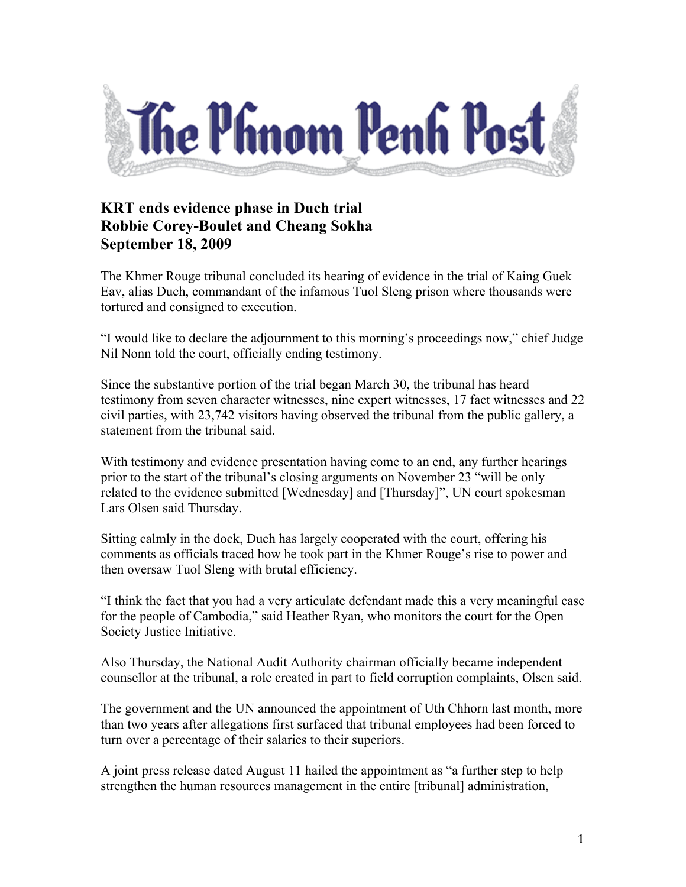

## **KRT ends evidence phase in Duch trial Robbie Corey-Boulet and Cheang Sokha September 18, 2009**

The Khmer Rouge tribunal concluded its hearing of evidence in the trial of Kaing Guek Eav, alias Duch, commandant of the infamous Tuol Sleng prison where thousands were tortured and consigned to execution.

"I would like to declare the adjournment to this morning's proceedings now," chief Judge Nil Nonn told the court, officially ending testimony.

Since the substantive portion of the trial began March 30, the tribunal has heard testimony from seven character witnesses, nine expert witnesses, 17 fact witnesses and 22 civil parties, with 23,742 visitors having observed the tribunal from the public gallery, a statement from the tribunal said.

With testimony and evidence presentation having come to an end, any further hearings prior to the start of the tribunal's closing arguments on November 23 "will be only related to the evidence submitted [Wednesday] and [Thursday]", UN court spokesman Lars Olsen said Thursday.

Sitting calmly in the dock, Duch has largely cooperated with the court, offering his comments as officials traced how he took part in the Khmer Rouge's rise to power and then oversaw Tuol Sleng with brutal efficiency.

"I think the fact that you had a very articulate defendant made this a very meaningful case for the people of Cambodia," said Heather Ryan, who monitors the court for the Open Society Justice Initiative.

Also Thursday, the National Audit Authority chairman officially became independent counsellor at the tribunal, a role created in part to field corruption complaints, Olsen said.

The government and the UN announced the appointment of Uth Chhorn last month, more than two years after allegations first surfaced that tribunal employees had been forced to turn over a percentage of their salaries to their superiors.

A joint press release dated August 11 hailed the appointment as "a further step to help strengthen the human resources management in the entire [tribunal] administration,